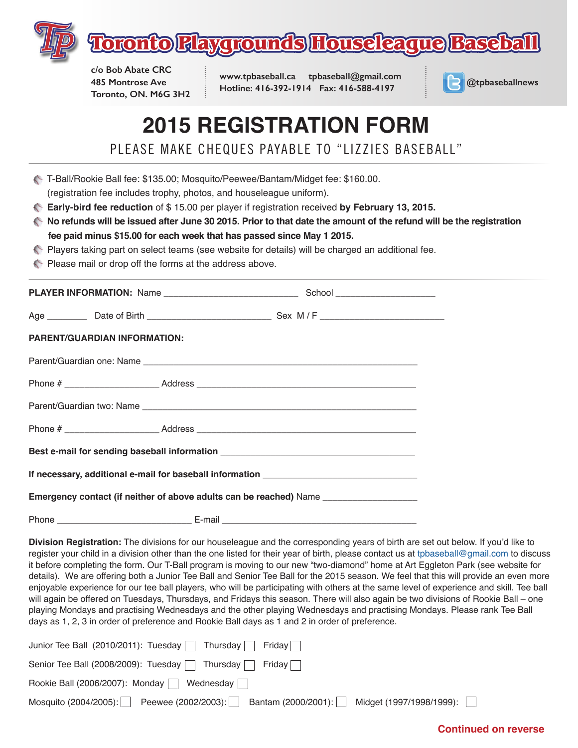

**c/o Bob Abate CRC 485 Montrose Ave Toronto, ON. M6G 3H2**

**www.tpbaseball.ca tpbaseball@gmail.com Hotline: 416-392-1914 Fax: 416-588-4197 @tpbaseballnews**



## **2015 REGISTRATION FORM**

PLEASE MAKE CHEQUES PAYABLE TO "LIZZIES BASEBALL"

 T-Ball/Rookie Ball fee: \$135.00; Mosquito/Peewee/Bantam/Midget fee: \$160.00. (registration fee includes trophy, photos, and houseleague uniform).

- **Early-bird fee reduction** of \$ 15.00 per player if registration received **by February 13, 2015.**
- **No refunds will be issued after June 30 2015. Prior to that date the amount of the refund will be the registration fee paid minus \$15.00 for each week that has passed since May 1 2015.**
- Players taking part on select teams (see website for details) will be charged an additional fee.
- Please mail or drop off the forms at the address above.

| PARENT/GUARDIAN INFORMATION:                                                          |  |  |  |  |  |
|---------------------------------------------------------------------------------------|--|--|--|--|--|
|                                                                                       |  |  |  |  |  |
|                                                                                       |  |  |  |  |  |
|                                                                                       |  |  |  |  |  |
|                                                                                       |  |  |  |  |  |
| Best e-mail for sending baseball information ___________________________________      |  |  |  |  |  |
|                                                                                       |  |  |  |  |  |
| Emergency contact (if neither of above adults can be reached) Name __________________ |  |  |  |  |  |
|                                                                                       |  |  |  |  |  |

**Division Registration:** The divisions for our houseleague and the corresponding years of birth are set out below. If you'd like to register your child in a division other than the one listed for their year of birth, please contact us at tpbaseball@gmail.com to discuss it before completing the form. Our T-Ball program is moving to our new "two-diamond" home at Art Eggleton Park (see website for details). We are offering both a Junior Tee Ball and Senior Tee Ball for the 2015 season. We feel that this will provide an even more enjoyable experience for our tee ball players, who will be participating with others at the same level of experience and skill. Tee ball will again be offered on Tuesdays, Thursdays, and Fridays this season. There will also again be two divisions of Rookie Ball – one playing Mondays and practising Wednesdays and the other playing Wednesdays and practising Mondays. Please rank Tee Ball days as 1, 2, 3 in order of preference and Rookie Ball days as 1 and 2 in order of preference.

| Junior Tee Ball (2010/2011): Tuesday Thursday Friday                                         |
|----------------------------------------------------------------------------------------------|
| Senior Tee Ball (2008/2009): Tuesday $\Box$ Thursday $\Box$ Friday $\Box$                    |
| Rookie Ball (2006/2007): Monday $\Box$ Wednesday $\Box$                                      |
| Mosquito (2004/2005):   Peewee (2002/2003):   Bantam (2000/2001):   Midget (1997/1998/1999): |

## **Continued on reverse**